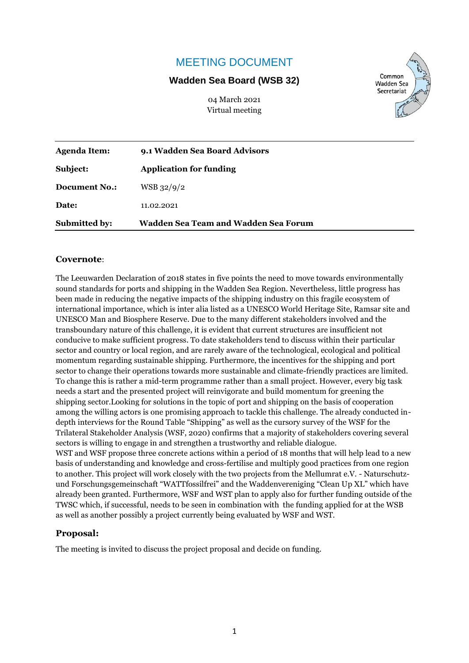## MEETING DOCUMENT

#### **Wadden Sea Board (WSB 32)**

04 March 2021 Virtual meeting



| <b>Agenda Item:</b>  | 9.1 Wadden Sea Board Advisors        |  |  |
|----------------------|--------------------------------------|--|--|
| Subject:             | <b>Application for funding</b>       |  |  |
| Document No.:        | WSB 32/9/2                           |  |  |
| Date:                | 11.02.2021                           |  |  |
| <b>Submitted by:</b> | Wadden Sea Team and Wadden Sea Forum |  |  |

#### **Covernote**:

The Leeuwarden Declaration of 2018 states in five points the need to move towards environmentally sound standards for ports and shipping in the Wadden Sea Region. Nevertheless, little progress has been made in reducing the negative impacts of the shipping industry on this fragile ecosystem of international importance, which is inter alia listed as a UNESCO World Heritage Site, Ramsar site and UNESCO Man and Biosphere Reserve. Due to the many different stakeholders involved and the transboundary nature of this challenge, it is evident that current structures are insufficient not conducive to make sufficient progress. To date stakeholders tend to discuss within their particular sector and country or local region, and are rarely aware of the technological, ecological and political momentum regarding sustainable shipping. Furthermore, the incentives for the shipping and port sector to change their operations towards more sustainable and climate-friendly practices are limited. To change this is rather a mid-term programme rather than a small project. However, every big task needs a start and the presented project will reinvigorate and build momentum for greening the shipping sector.Looking for solutions in the topic of port and shipping on the basis of cooperation among the willing actors is one promising approach to tackle this challenge. The already conducted indepth interviews for the Round Table "Shipping" as well as the cursory survey of the WSF for the Trilateral Stakeholder Analysis (WSF, 2020) confirms that a majority of stakeholders covering several sectors is willing to engage in and strengthen a trustworthy and reliable dialogue.

WST and WSF propose three concrete actions within a period of 18 months that will help lead to a new basis of understanding and knowledge and cross-fertilise and multiply good practices from one region to another. This project will work closely with the two projects from the Mellumrat e.V. - Naturschutzund Forschungsgemeinschaft "WATTfossilfrei" and the Waddenvereniging "Clean Up XL" which have already been granted. Furthermore, WSF and WST plan to apply also for further funding outside of the TWSC which, if successful, needs to be seen in combination with the funding applied for at the WSB as well as another possibly a project currently being evaluated by WSF and WST.

#### **Proposal:**

The meeting is invited to discuss the project proposal and decide on funding.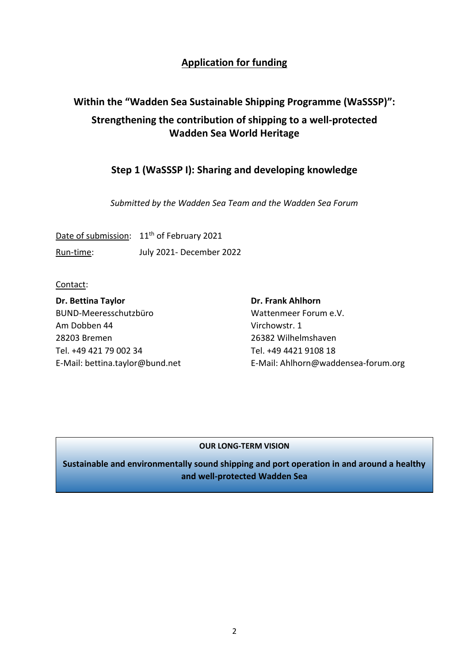## **Application for funding**

# **Within the "Wadden Sea Sustainable Shipping Programme (WaSSSP)": Strengthening the contribution of shipping to a well-protected Wadden Sea World Heritage**

### **Step 1 (WaSSSP I): Sharing and developing knowledge**

*Submitted by the Wadden Sea Team and the Wadden Sea Forum*

Date of submission: 11<sup>th</sup> of February 2021 Run-time: July 2021- December 2022

Contact:

**Dr. Bettina Taylor Dr. Frank Ahlhorn** BUND-Meeresschutzbüro Wattenmeer Forum e.V. Am Dobben 44 Virchowstr. 1 28203 Bremen 26382 Wilhelmshaven Tel. +49 421 79 002 34 Tel. +49 4421 9108 18

E-Mail: [bettina.taylor@bund.net](mailto:bettina.taylor@bund.net) E-Mail: Ahlhorn@waddensea-forum.org

#### **OUR LONG-TERM VISION**

**Sustainable and environmentally sound shipping and port operation in and around a healthy and well-protected Wadden Sea**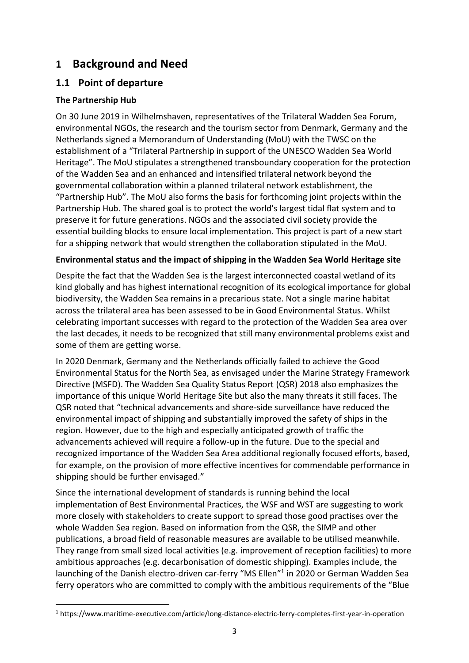# **1 Background and Need**

## **1.1 Point of departure**

### **The Partnership Hub**

On 30 June 2019 in Wilhelmshaven, representatives of the Trilateral Wadden Sea Forum, environmental NGOs, the research and the tourism sector from Denmark, Germany and the Netherlands signed a Memorandum of Understanding (MoU) with the TWSC on the establishment of a "Trilateral Partnership in support of the UNESCO Wadden Sea World Heritage". The MoU stipulates a strengthened transboundary cooperation for the protection of the Wadden Sea and an enhanced and intensified trilateral network beyond the governmental collaboration within a planned trilateral network establishment, the "Partnership Hub". The MoU also forms the basis for forthcoming joint projects within the Partnership Hub. The shared goal is to protect the world's largest tidal flat system and to preserve it for future generations. NGOs and the associated civil society provide the essential building blocks to ensure local implementation. This project is part of a new start for a shipping network that would strengthen the collaboration stipulated in the MoU.

### **Environmental status and the impact of shipping in the Wadden Sea World Heritage site**

Despite the fact that the Wadden Sea is the largest interconnected coastal wetland of its kind globally and has highest international recognition of its ecological importance for global biodiversity, the Wadden Sea remains in a precarious state. Not a single marine habitat across the trilateral area has been assessed to be in Good Environmental Status. Whilst celebrating important successes with regard to the protection of the Wadden Sea area over the last decades, it needs to be recognized that still many environmental problems exist and some of them are getting worse.

In 2020 Denmark, Germany and the Netherlands officially failed to achieve the Good Environmental Status for the North Sea, as envisaged under the Marine Strategy Framework Directive (MSFD). The Wadden Sea Quality Status Report (QSR) 2018 also emphasizes the importance of this unique World Heritage Site but also the many threats it still faces. The QSR noted that "technical advancements and shore-side surveillance have reduced the environmental impact of shipping and substantially improved the safety of ships in the region. However, due to the high and especially anticipated growth of traffic the advancements achieved will require a follow-up in the future. Due to the special and recognized importance of the Wadden Sea Area additional regionally focused efforts, based, for example, on the provision of more effective incentives for commendable performance in shipping should be further envisaged."

Since the international development of standards is running behind the local implementation of Best Environmental Practices, the WSF and WST are suggesting to work more closely with stakeholders to create support to spread those good practises over the whole Wadden Sea region. Based on information from the QSR, the SIMP and other publications, a broad field of reasonable measures are available to be utilised meanwhile. They range from small sized local activities (e.g. improvement of reception facilities) to more ambitious approaches (e.g. decarbonisation of domestic shipping). Examples include, the launching of the Danish electro-driven car-ferry "MS Ellen"<sup>1</sup> in 2020 or German Wadden Sea ferry operators who are committed to comply with the ambitious requirements of the "Blue

<sup>1</sup> https://www.maritime-executive.com/article/long-distance-electric-ferry-completes-first-year-in-operation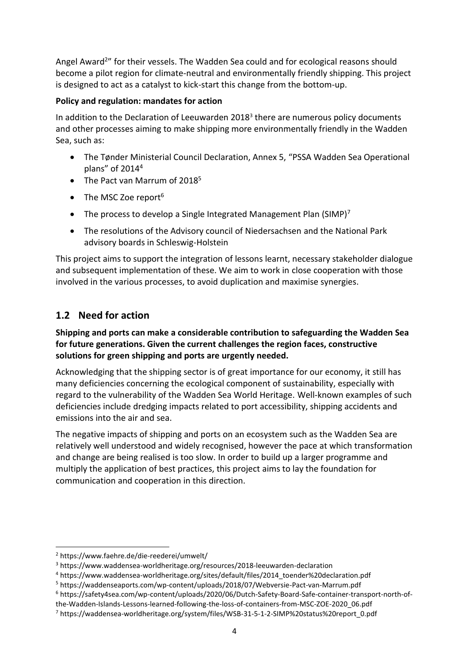Angel Award<sup>2</sup>" for their vessels. The Wadden Sea could and for ecological reasons should become a pilot region for climate-neutral and environmentally friendly shipping. This project is designed to act as a catalyst to kick-start this change from the bottom-up.

### **Policy and regulation: mandates for action**

In addition to the Declaration of Leeuwarden 2018<sup>3</sup> there are numerous policy documents and other processes aiming to make shipping more environmentally friendly in the Wadden Sea, such as:

- The Tønder Ministerial Council Declaration, Annex 5, "PSSA Wadden Sea Operational plans" of 2014<sup>4</sup>
- The Pact van Marrum of 2018<sup>5</sup>
- The MSC Zoe report<sup>6</sup>
- The process to develop a Single Integrated Management Plan (SIMP)<sup>7</sup>
- The resolutions of the Advisory council of Niedersachsen and the National Park advisory boards in Schleswig-Holstein

This project aims to support the integration of lessons learnt, necessary stakeholder dialogue and subsequent implementation of these. We aim to work in close cooperation with those involved in the various processes, to avoid duplication and maximise synergies.

## **1.2 Need for action**

### **Shipping and ports can make a considerable contribution to safeguarding the Wadden Sea for future generations. Given the current challenges the region faces, constructive solutions for green shipping and ports are urgently needed.**

Acknowledging that the shipping sector is of great importance for our economy, it still has many deficiencies concerning the ecological component of sustainability, especially with regard to the vulnerability of the Wadden Sea World Heritage. Well-known examples of such deficiencies include dredging impacts related to port accessibility, shipping accidents and emissions into the air and sea.

The negative impacts of shipping and ports on an ecosystem such as the Wadden Sea are relatively well understood and widely recognised, however the pace at which transformation and change are being realised is too slow. In order to build up a larger programme and multiply the application of best practices, this project aims to lay the foundation for communication and cooperation in this direction.

<sup>6</sup> https://safety4sea.com/wp-content/uploads/2020/06/Dutch-Safety-Board-Safe-container-transport-north-of-

<sup>2</sup> https://www.faehre.de/die-reederei/umwelt/

<sup>3</sup> https://www.waddensea-worldheritage.org/resources/2018-leeuwarden-declaration

<sup>4</sup> https://www.waddensea-worldheritage.org/sites/default/files/2014\_toender%20declaration.pdf

<sup>5</sup> https://waddenseaports.com/wp-content/uploads/2018/07/Webversie-Pact-van-Marrum.pdf

the-Wadden-Islands-Lessons-learned-following-the-loss-of-containers-from-MSC-ZOE-2020\_06.pdf

<sup>7</sup> https://waddensea-worldheritage.org/system/files/WSB-31-5-1-2-SIMP%20status%20report\_0.pdf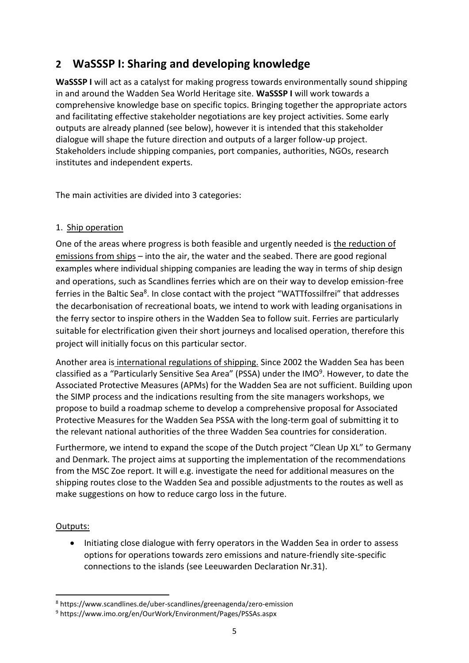# **2 WaSSSP I: Sharing and developing knowledge**

**WaSSSP I** will act as a catalyst for making progress towards environmentally sound shipping in and around the Wadden Sea World Heritage site. **WaSSSP I** will work towards a comprehensive knowledge base on specific topics. Bringing together the appropriate actors and facilitating effective stakeholder negotiations are key project activities. Some early outputs are already planned (see below), however it is intended that this stakeholder dialogue will shape the future direction and outputs of a larger follow-up project. Stakeholders include shipping companies, port companies, authorities, NGOs, research institutes and independent experts.

The main activities are divided into 3 categories:

### 1. Ship operation

One of the areas where progress is both feasible and urgently needed is the reduction of emissions from ships – into the air, the water and the seabed. There are good regional examples where individual shipping companies are leading the way in terms of ship design and operations, such as Scandlines ferries which are on their way to develop emission-free ferries in the Baltic Sea<sup>8</sup>. In close contact with the project "WATTfossilfrei" that addresses the decarbonisation of recreational boats, we intend to work with leading organisations in the ferry sector to inspire others in the Wadden Sea to follow suit. Ferries are particularly suitable for electrification given their short journeys and localised operation, therefore this project will initially focus on this particular sector.

Another area is international regulations of shipping. Since 2002 the Wadden Sea has been classified as a "Particularly Sensitive Sea Area" (PSSA) under the IMO<sup>9</sup>. However, to date the Associated Protective Measures (APMs) for the Wadden Sea are not sufficient. Building upon the SIMP process and the indications resulting from the site managers workshops, we propose to build a roadmap scheme to develop a comprehensive proposal for Associated Protective Measures for the Wadden Sea PSSA with the long-term goal of submitting it to the relevant national authorities of the three Wadden Sea countries for consideration.

Furthermore, we intend to expand the scope of the Dutch project "Clean Up XL" to Germany and Denmark. The project aims at supporting the implementation of the recommendations from the MSC Zoe report. It will e.g. investigate the need for additional measures on the shipping routes close to the Wadden Sea and possible adjustments to the routes as well as make suggestions on how to reduce cargo loss in the future.

### Outputs:

• Initiating close dialogue with ferry operators in the Wadden Sea in order to assess options for operations towards zero emissions and nature-friendly site-specific connections to the islands (see Leeuwarden Declaration Nr.31).

<sup>8</sup> https://www.scandlines.de/uber-scandlines/greenagenda/zero-emission

<sup>9</sup> https://www.imo.org/en/OurWork/Environment/Pages/PSSAs.aspx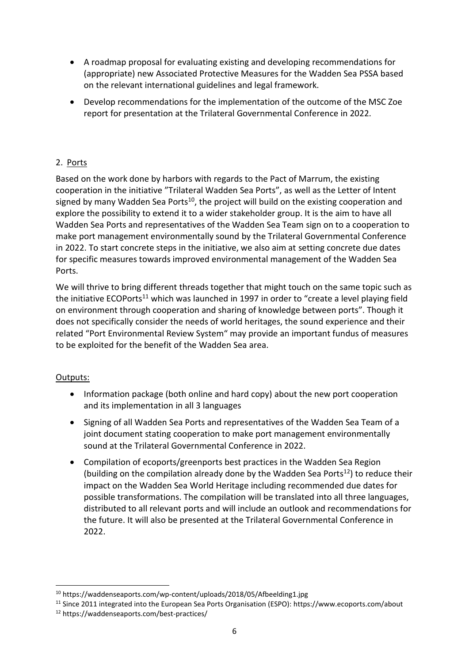- A roadmap proposal for evaluating existing and developing recommendations for (appropriate) new Associated Protective Measures for the Wadden Sea PSSA based on the relevant international guidelines and legal framework.
- Develop recommendations for the implementation of the outcome of the MSC Zoe report for presentation at the Trilateral Governmental Conference in 2022.

### 2. Ports

Based on the work done by harbors with regards to the Pact of Marrum, the existing cooperation in the initiative "Trilateral Wadden Sea Ports", as well as the Letter of Intent signed by many Wadden Sea Ports<sup>10</sup>, the project will build on the existing cooperation and explore the possibility to extend it to a wider stakeholder group. It is the aim to have all Wadden Sea Ports and representatives of the Wadden Sea Team sign on to a cooperation to make port management environmentally sound by the Trilateral Governmental Conference in 2022. To start concrete steps in the initiative, we also aim at setting concrete due dates for specific measures towards improved environmental management of the Wadden Sea Ports.

We will thrive to bring different threads together that might touch on the same topic such as the initiative ECOPorts<sup>11</sup> which was launched in 1997 in order to "create a level playing field on environment through cooperation and sharing of knowledge between ports". Though it does not specifically consider the needs of world heritages, the sound experience and their related "Port Environmental Review System" may provide an important fundus of measures to be exploited for the benefit of the Wadden Sea area.

### Outputs:

- Information package (both online and hard copy) about the new port cooperation and its implementation in all 3 languages
- Signing of all Wadden Sea Ports and representatives of the Wadden Sea Team of a joint document stating cooperation to make port management environmentally sound at the Trilateral Governmental Conference in 2022.
- Compilation of ecoports/greenports best practices in the Wadden Sea Region (building on the compilation already done by the Wadden Sea Ports<sup>12</sup>) to reduce their impact on the Wadden Sea World Heritage including recommended due dates for possible transformations. The compilation will be translated into all three languages, distributed to all relevant ports and will include an outlook and recommendations for the future. It will also be presented at the Trilateral Governmental Conference in 2022.

<sup>10</sup> https://waddenseaports.com/wp-content/uploads/2018/05/Afbeelding1.jpg

<sup>11</sup> Since 2011 integrated into the European Sea Ports Organisation (ESPO): https://www.ecoports.com/about <sup>12</sup> https://waddenseaports.com/best-practices/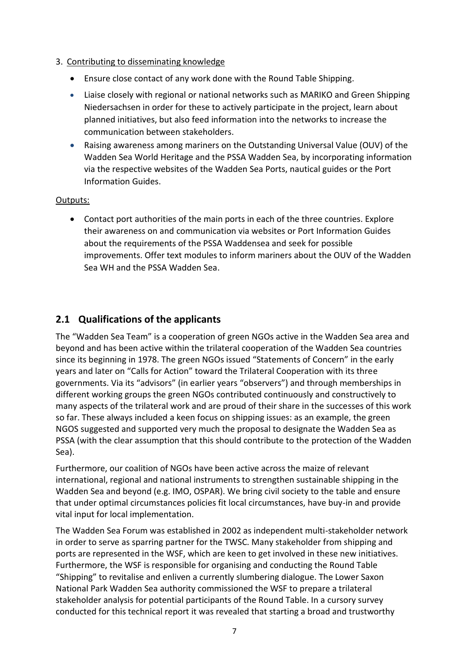### 3. Contributing to disseminating knowledge

- Ensure close contact of any work done with the Round Table Shipping.
- Liaise closely with regional or national networks such as MARIKO and Green Shipping Niedersachsen in order for these to actively participate in the project, learn about planned initiatives, but also feed information into the networks to increase the communication between stakeholders.
- Raising awareness among mariners on the Outstanding Universal Value (OUV) of the Wadden Sea World Heritage and the PSSA Wadden Sea, by incorporating information via the respective websites of the Wadden Sea Ports, nautical guides or the Port Information Guides.

### Outputs:

• Contact port authorities of the main ports in each of the three countries. Explore their awareness on and communication via websites or Port Information Guides about the requirements of the PSSA Waddensea and seek for possible improvements. Offer text modules to inform mariners about the OUV of the Wadden Sea WH and the PSSA Wadden Sea.

### **2.1 Qualifications of the applicants**

The "Wadden Sea Team" is a cooperation of green NGOs active in the Wadden Sea area and beyond and has been active within the trilateral cooperation of the Wadden Sea countries since its beginning in 1978. The green NGOs issued "Statements of Concern" in the early years and later on "Calls for Action" toward the Trilateral Cooperation with its three governments. Via its "advisors" (in earlier years "observers") and through memberships in different working groups the green NGOs contributed continuously and constructively to many aspects of the trilateral work and are proud of their share in the successes of this work so far. These always included a keen focus on shipping issues: as an example, the green NGOS suggested and supported very much the proposal to designate the Wadden Sea as PSSA (with the clear assumption that this should contribute to the protection of the Wadden Sea).

Furthermore, our coalition of NGOs have been active across the maize of relevant international, regional and national instruments to strengthen sustainable shipping in the Wadden Sea and beyond (e.g. IMO, OSPAR). We bring civil society to the table and ensure that under optimal circumstances policies fit local circumstances, have buy-in and provide vital input for local implementation.

The Wadden Sea Forum was established in 2002 as independent multi-stakeholder network in order to serve as sparring partner for the TWSC. Many stakeholder from shipping and ports are represented in the WSF, which are keen to get involved in these new initiatives. Furthermore, the WSF is responsible for organising and conducting the Round Table "Shipping" to revitalise and enliven a currently slumbering dialogue. The Lower Saxon National Park Wadden Sea authority commissioned the WSF to prepare a trilateral stakeholder analysis for potential participants of the Round Table. In a cursory survey conducted for this technical report it was revealed that starting a broad and trustworthy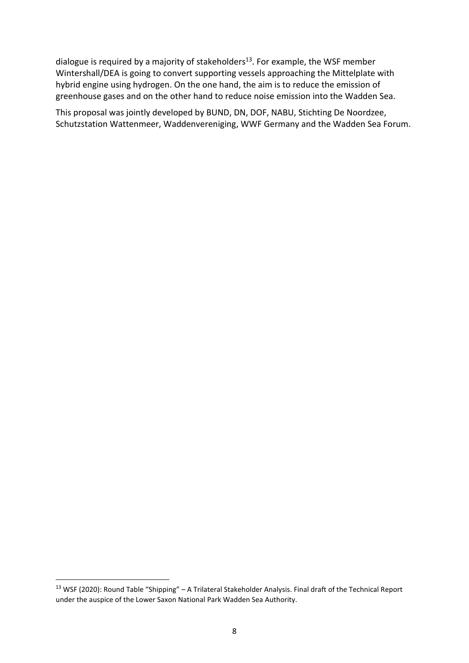dialogue is required by a majority of stakeholders<sup>13</sup>. For example, the WSF member Wintershall/DEA is going to convert supporting vessels approaching the Mittelplate with hybrid engine using hydrogen. On the one hand, the aim is to reduce the emission of greenhouse gases and on the other hand to reduce noise emission into the Wadden Sea.

This proposal was jointly developed by BUND, DN, DOF, NABU, Stichting De Noordzee, Schutzstation Wattenmeer, Waddenvereniging, WWF Germany and the Wadden Sea Forum.

<sup>&</sup>lt;sup>13</sup> WSF (2020): Round Table "Shipping" – A Trilateral Stakeholder Analysis. Final draft of the Technical Report under the auspice of the Lower Saxon National Park Wadden Sea Authority.